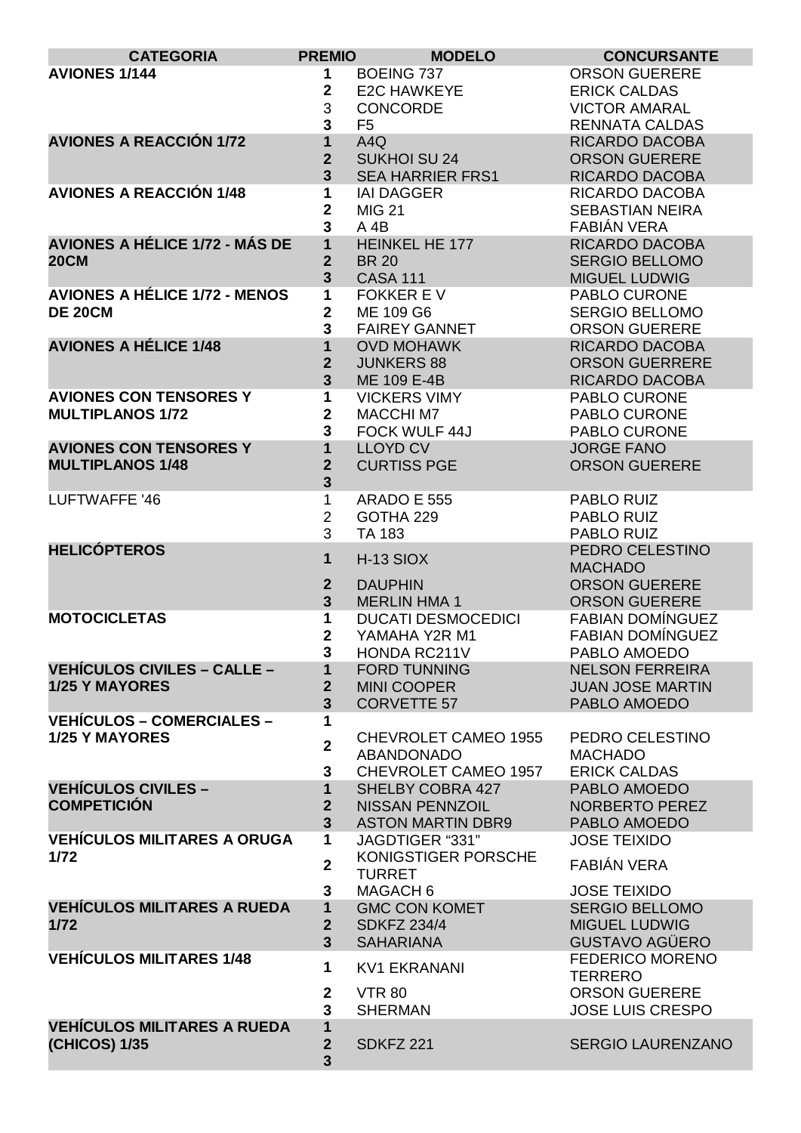| <b>CATEGORIA</b>                      | <b>PREMIO</b>                  | <b>MODELO</b>                       | <b>CONCURSANTE</b>                     |
|---------------------------------------|--------------------------------|-------------------------------------|----------------------------------------|
| <b>AVIONES 1/144</b>                  | 1                              | <b>BOEING 737</b>                   | <b>ORSON GUERERE</b>                   |
|                                       | $\mathbf{2}$                   | <b>E2C HAWKEYE</b>                  | <b>ERICK CALDAS</b>                    |
|                                       | 3                              | <b>CONCORDE</b>                     | <b>VICTOR AMARAL</b>                   |
|                                       | 3                              | F <sub>5</sub>                      | <b>RENNATA CALDAS</b>                  |
| <b>AVIONES A REACCIÓN 1/72</b>        | 1                              | A4Q                                 | <b>RICARDO DACOBA</b>                  |
|                                       | $\mathbf{2}$                   | <b>SUKHOI SU 24</b>                 | <b>ORSON GUERERE</b>                   |
|                                       | $\overline{3}$                 | <b>SEA HARRIER FRS1</b>             | RICARDO DACOBA                         |
| <b>AVIONES A REACCIÓN 1/48</b>        | 1                              | <b>IAI DAGGER</b>                   | RICARDO DACOBA                         |
|                                       | 2                              | <b>MIG 21</b>                       | <b>SEBASTIAN NEIRA</b>                 |
|                                       | 3                              | A 4B                                | FABIÁN VERA                            |
| <b>AVIONES A HÉLICE 1/72 - MÁS DE</b> | $\overline{\mathbf{1}}$        | <b>HEINKEL HE 177</b>               | <b>RICARDO DACOBA</b>                  |
| <b>20CM</b>                           | $\mathbf{2}$                   | <b>BR 20</b>                        | <b>SERGIO BELLOMO</b>                  |
|                                       | 3                              | <b>CASA 111</b>                     | <b>MIGUEL LUDWIG</b>                   |
| <b>AVIONES A HÉLICE 1/72 - MENOS</b>  | 1                              | <b>FOKKER EV</b>                    | PABLO CURONE                           |
| <b>DE 20CM</b>                        | $\mathbf 2$                    | ME 109 G6                           | <b>SERGIO BELLOMO</b>                  |
|                                       | 3                              | <b>FAIREY GANNET</b>                | <b>ORSON GUERERE</b>                   |
| <b>AVIONES A HÉLICE 1/48</b>          | 1                              | <b>OVD MOHAWK</b>                   | RICARDO DACOBA                         |
|                                       | $\overline{2}$                 | <b>JUNKERS 88</b>                   | <b>ORSON GUERRERE</b>                  |
|                                       | $\overline{\mathbf{3}}$        | ME 109 E-4B                         | RICARDO DACOBA                         |
| <b>AVIONES CON TENSORES Y</b>         | 1                              | <b>VICKERS VIMY</b>                 | PABLO CURONE                           |
| <b>MULTIPLANOS 1/72</b>               | $\overline{2}$                 | <b>MACCHI M7</b>                    | PABLO CURONE                           |
|                                       | 3                              | FOCK WULF 44J                       | PABLO CURONE                           |
| <b>AVIONES CON TENSORES Y</b>         | $\overline{\mathbf{1}}$        | <b>LLOYD CV</b>                     | <b>JORGE FANO</b>                      |
| <b>MULTIPLANOS 1/48</b>               | $\overline{2}$                 | <b>CURTISS PGE</b>                  | <b>ORSON GUERERE</b>                   |
|                                       | $\overline{\mathbf{3}}$        |                                     |                                        |
| LUFTWAFFE '46                         | 1                              | <b>ARADO E 555</b>                  | PABLO RUIZ                             |
|                                       | $\overline{2}$                 | GOTHA 229                           | PABLO RUIZ                             |
|                                       | 3                              | <b>TA 183</b>                       | PABLO RUIZ                             |
| <b>HELICÓPTEROS</b>                   | $\mathbf 1$                    | $H-13$ SIOX                         | PEDRO CELESTINO                        |
|                                       |                                |                                     | <b>MACHADO</b>                         |
|                                       | $\overline{2}$                 | <b>DAUPHIN</b>                      | <b>ORSON GUERERE</b>                   |
|                                       | $\overline{3}$                 | <b>MERLIN HMA 1</b>                 | <b>ORSON GUERERE</b>                   |
| <b>MOTOCICLETAS</b>                   | 1                              | <b>DUCATI DESMOCEDICI</b>           | <b>FABIAN DOMÍNGUEZ</b>                |
|                                       | $\mathbf{2}$                   | YAMAHA Y2R M1                       | <b>FABIAN DOMÍNGUEZ</b>                |
| <b>VEHÍCULOS CIVILES – CALLE –</b>    | 3<br>1                         | HONDA RC211V<br><b>FORD TUNNING</b> | PABLO AMOEDO<br><b>NELSON FERREIRA</b> |
| <b>1/25 Y MAYORES</b>                 | $\overline{2}$                 | <b>MINI COOPER</b>                  | <b>JUAN JOSE MARTIN</b>                |
|                                       | $\overline{\mathbf{3}}$        | <b>CORVETTE 57</b>                  | PABLO AMOEDO                           |
| <b>VEHÍCULOS – COMERCIALES –</b>      | 1                              |                                     |                                        |
| <b>1/25 Y MAYORES</b>                 |                                | CHEVROLET CAMEO 1955                | PEDRO CELESTINO                        |
|                                       | $\overline{2}$                 | ABANDONADO                          | <b>MACHADO</b>                         |
|                                       | 3                              | CHEVROLET CAMEO 1957                | <b>ERICK CALDAS</b>                    |
| <b>VEHÍCULOS CIVILES -</b>            | $\overline{\mathbf{1}}$        | SHELBY COBRA 427                    | PABLO AMOEDO                           |
| <b>COMPETICIÓN</b>                    | $\overline{2}$                 | <b>NISSAN PENNZOIL</b>              | <b>NORBERTO PEREZ</b>                  |
|                                       | $\overline{3}$                 | <b>ASTON MARTIN DBR9</b>            | PABLO AMOEDO                           |
| <b>VEHÍCULOS MILITARES A ORUGA</b>    | $\mathbf 1$                    | JAGDTIGER "331"                     | <b>JOSE TEIXIDO</b>                    |
| 1/72                                  | $\mathbf{2}$                   | KONIGSTIGER PORSCHE                 | FABIÁN VERA                            |
|                                       |                                | <b>TURRET</b>                       |                                        |
|                                       | 3                              | MAGACH 6                            | <b>JOSE TEIXIDO</b>                    |
| <b>VEHÍCULOS MILITARES A RUEDA</b>    | $\mathbf{1}$                   | <b>GMC CON KOMET</b>                | <b>SERGIO BELLOMO</b>                  |
| 1/72                                  | $\overline{2}$                 | <b>SDKFZ 234/4</b>                  | <b>MIGUEL LUDWIG</b>                   |
|                                       | $\overline{3}$                 | <b>SAHARIANA</b>                    | <b>GUSTAVO AGÜERO</b>                  |
| <b>VEHÍCULOS MILITARES 1/48</b>       | $\mathbf 1$                    | <b>KV1 EKRANANI</b>                 | <b>FEDERICO MORENO</b>                 |
|                                       |                                |                                     | <b>TERRERO</b>                         |
|                                       | $\mathbf{2}$                   | <b>VTR 80</b>                       | <b>ORSON GUERERE</b>                   |
|                                       | $\overline{\mathbf{3}}$        | <b>SHERMAN</b>                      | <b>JOSE LUIS CRESPO</b>                |
| <b>VEHÍCULOS MILITARES A RUEDA</b>    | $\mathbf{1}$<br>$\overline{2}$ |                                     |                                        |
| (CHICOS) 1/35                         | 3                              | <b>SDKFZ 221</b>                    | <b>SERGIO LAURENZANO</b>               |
|                                       |                                |                                     |                                        |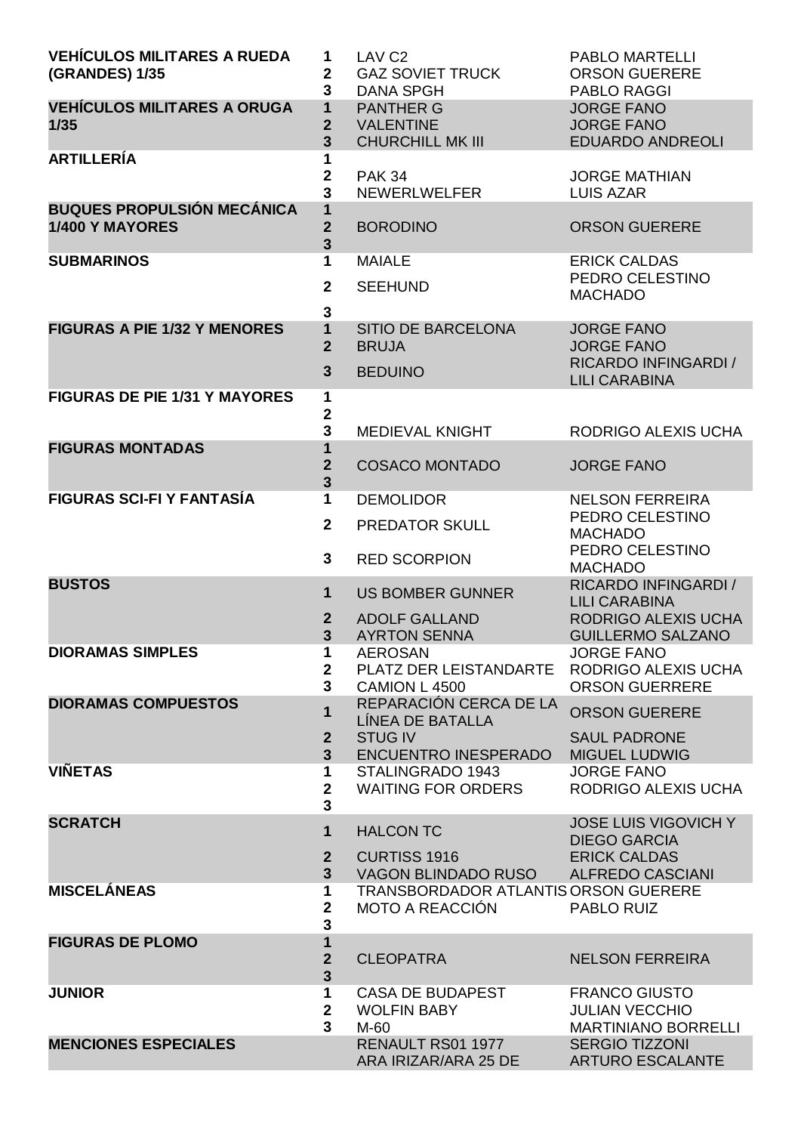| <b>VEHÍCULOS MILITARES A RUEDA</b><br><b>(GRANDES) 1/35</b> | 1<br>$\mathbf{2}$<br>3                             | LAV <sub>C2</sub><br><b>GAZ SOVIET TRUCK</b><br><b>DANA SPGH</b>               | <b>PABLO MARTELLI</b><br><b>ORSON GUERERE</b><br><b>PABLO RAGGI</b>                    |
|-------------------------------------------------------------|----------------------------------------------------|--------------------------------------------------------------------------------|----------------------------------------------------------------------------------------|
| <b>VEHÍCULOS MILITARES A ORUGA</b><br>1/35                  | $\mathbf{1}$<br>2<br>3                             | <b>PANTHER G</b><br><b>VALENTINE</b><br><b>CHURCHILL MK III</b>                | <b>JORGE FANO</b><br><b>JORGE FANO</b><br><b>EDUARDO ANDREOLI</b>                      |
| <b>ARTILLERÍA</b>                                           | $\mathbf{2}$<br>3                                  | <b>PAK 34</b><br><b>NEWERLWELFER</b>                                           | <b>JORGE MATHIAN</b><br><b>LUIS AZAR</b>                                               |
| <b>BUQUES PROPULSIÓN MECÁNICA</b><br>1/400 Y MAYORES        | 1<br>$\overline{2}$<br>3                           | <b>BORODINO</b>                                                                | <b>ORSON GUERERE</b>                                                                   |
| <b>SUBMARINOS</b>                                           | 1<br>$\mathbf{2}$<br>$\mathbf{3}$                  | <b>MAIALE</b><br><b>SEEHUND</b>                                                | <b>ERICK CALDAS</b><br>PEDRO CELESTINO<br><b>MACHADO</b>                               |
| <b>FIGURAS A PIE 1/32 Y MENORES</b>                         | 1<br>$\overline{2}$<br>$\mathbf{3}$                | <b>SITIO DE BARCELONA</b><br><b>BRUJA</b><br><b>BEDUINO</b>                    | <b>JORGE FANO</b><br><b>JORGE FANO</b><br>RICARDO INFINGARDI /<br><b>LILI CARABINA</b> |
| <b>FIGURAS DE PIE 1/31 Y MAYORES</b>                        | 1<br>2<br>3                                        | <b>MEDIEVAL KNIGHT</b>                                                         | RODRIGO ALEXIS UCHA                                                                    |
| <b>FIGURAS MONTADAS</b>                                     | 1<br>$\overline{2}$<br>3                           | <b>COSACO MONTADO</b>                                                          | <b>JORGE FANO</b>                                                                      |
| <b>FIGURAS SCI-FI Y FANTASÍA</b>                            | $\mathbf{1}$                                       | <b>DEMOLIDOR</b>                                                               | <b>NELSON FERREIRA</b>                                                                 |
|                                                             | $\overline{2}$                                     | <b>PREDATOR SKULL</b>                                                          | PEDRO CELESTINO<br><b>MACHADO</b><br>PEDRO CELESTINO                                   |
|                                                             | 3                                                  | <b>RED SCORPION</b>                                                            | <b>MACHADO</b>                                                                         |
| <b>BUSTOS</b>                                               | 1                                                  | <b>US BOMBER GUNNER</b>                                                        | RICARDO INFINGARDI /<br><b>LILI CARABINA</b>                                           |
|                                                             | $\mathbf{2}$<br>$\overline{\mathbf{3}}$            | <b>ADOLF GALLAND</b><br><b>AYRTON SENNA</b>                                    | RODRIGO ALEXIS UCHA<br><b>GUILLERMO SALZANO</b>                                        |
| <b>DIORAMAS SIMPLES</b>                                     | 1<br>$\mathbf{2}$                                  | <b>AEROSAN</b><br>PLATZ DER LEISTANDARTE                                       | <b>JORGE FANO</b><br>RODRIGO ALEXIS UCHA                                               |
|                                                             | $\mathbf{3}$                                       | CAMION L 4500                                                                  | <b>ORSON GUERRERE</b>                                                                  |
| <b>DIORAMAS COMPUESTOS</b>                                  | 1                                                  | REPARACIÓN CERCA DE LA<br>LÍNEA DE BATALLA                                     | <b>ORSON GUERERE</b>                                                                   |
|                                                             | $\mathbf{2}$<br>$\overline{3}$                     | <b>STUG IV</b><br><b>ENCUENTRO INESPERADO</b>                                  | <b>SAUL PADRONE</b><br><b>MIGUEL LUDWIG</b>                                            |
| <b>VIÑETAS</b>                                              | 1<br>$\mathbf{2}$<br>3                             | STALINGRADO 1943<br><b>WAITING FOR ORDERS</b>                                  | <b>JORGE FANO</b><br>RODRIGO ALEXIS UCHA                                               |
| <b>SCRATCH</b>                                              | $\mathbf 1$                                        | <b>HALCON TC</b>                                                               | <b>JOSE LUIS VIGOVICH Y</b><br><b>DIEGO GARCIA</b>                                     |
|                                                             | $\mathbf{2}$                                       | <b>CURTISS 1916</b>                                                            | <b>ERICK CALDAS</b>                                                                    |
| <b>MISCELÁNEAS</b>                                          | 3 <sup>5</sup><br>1<br>$\mathbf 2$                 | VAGON BLINDADO RUSO<br>TRANSBORDADOR ATLANTIS ORSON GUERERE<br>MOTO A REACCIÓN | <b>ALFREDO CASCIANI</b><br>PABLO RUIZ                                                  |
| <b>FIGURAS DE PLOMO</b>                                     | 3<br>1                                             |                                                                                |                                                                                        |
|                                                             | $\overline{\mathbf{2}}$<br>$\overline{\mathbf{3}}$ | <b>CLEOPATRA</b>                                                               | <b>NELSON FERREIRA</b>                                                                 |
| <b>JUNIOR</b>                                               | 1<br>$\mathbf{2}$<br>3                             | <b>CASA DE BUDAPEST</b><br><b>WOLFIN BABY</b><br>M-60                          | <b>FRANCO GIUSTO</b><br><b>JULIAN VECCHIO</b><br><b>MARTINIANO BORRELLI</b>            |
| <b>MENCIONES ESPECIALES</b>                                 |                                                    | RENAULT RS01 1977<br>ARA IRIZAR/ARA 25 DE                                      | <b>SERGIO TIZZONI</b><br><b>ARTURO ESCALANTE</b>                                       |